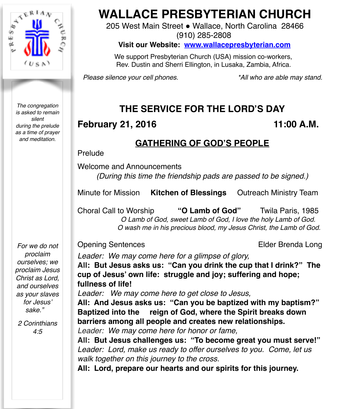

*The congregation is asked to remain silent during the prelude as a time of prayer and meditation.*

*For we do not proclaim ourselves; we proclaim Jesus Christ as Lord, and ourselves as your slaves for Jesus' sake."* 

*2 Corinthians 4:5*

# **WALLACE PRESBYTERIAN CHURCH**

205 West Main Street . Wallace, North Carolina 28466 (910) 285-2808

**Visit our Website: [www.wallacepresbyterian.com](http://www.wallacepresbyterian.com)**

 We support Presbyterian Church (USA) mission co-workers, Rev. Dustin and Sherri Ellington, in Lusaka, Zambia, Africa.

*Please silence your cell phones. \*All who are able may stand.*

# **THE SERVICE FOR THE LORD'S DAY**

### **February 21, 2016 11:00 A.M.**

### **GATHERING OF GOD'S PEOPLE**

Prelude

Welcome and Announcements *(During this time the friendship pads are passed to be signed.)*

Minute for Mission **Kitchen of Blessings** Outreach Ministry Team

Choral Call to Worship **"O Lamb of God"** Twila Paris, 1985  *O Lamb of God, sweet Lamb of God, I love the holy Lamb of God. O wash me in his precious blood, my Jesus Christ, the Lamb of God.*

**Opening Sentences** *Congress* **Elder Brenda Long** 

*Leader: We may come here for a glimpse of glory,*

**All: But Jesus asks us: "Can you drink the cup that I drink?" The cup of Jesus' own life: struggle and joy; suffering and hope; fullness of life!**

*Leader: We may come here to get close to Jesus,* 

**All: And Jesus asks us: "Can you be baptized with my baptism?" Baptized into the reign of God, where the Spirit breaks down barriers among all people and creates new relationships.** 

*Leader: We may come here for honor or fame,*

**All: But Jesus challenges us: "To become great you must serve!"** *Leader: Lord, make us ready to offer ourselves to you. Come, let us walk together on this journey to the cross.*

**All: Lord, prepare our hearts and our spirits for this journey.**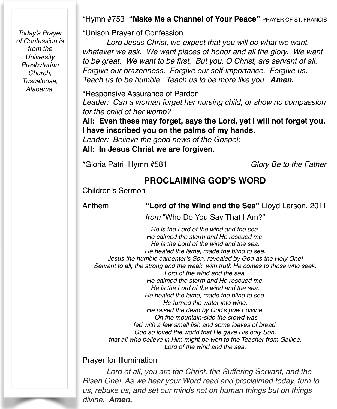#### \*Hymn #753 **"Make Me a Channel of Your Peace"** PRAYER OF ST. FRANCIS

*Today's Prayer of Confession is from the University Presbyterian Church, Tuscaloosa, Alabama.*

\*Unison Prayer of Confession

*Lord Jesus Christ, we expect that you will do what we want, whatever we ask. We want places of honor and all the glory. We want to be great. We want to be first. But you, O Christ, are servant of all. Forgive our brazenness. Forgive our self-importance. Forgive us. Teach us to be humble. Teach us to be more like you. Amen.*

\*Responsive Assurance of Pardon

*Leader: Can a woman forget her nursing child, or show no compassion for the child of her womb?*

**All: Even these may forget, says the Lord, yet I will not forget you. I have inscribed you on the palms of my hands.**

*Leader: Believe the good news of the Gospel:*

**All: In Jesus Christ we are forgiven.**

\*Gloria Patri Hymn #581 *Glory Be to the Father*

#### **PROCLAIMING GOD'S WORD**

Children's Sermon

Anthem **"Lord of the Wind and the Sea"** Lloyd Larson, 2011

*from* "Who Do You Say That I Am?"

*He is the Lord of the wind and the sea. He calmed the storm and He rescued me. He is the Lord of the wind and the sea. He healed the lame, made the blind to see. Jesus the humble carpenter's Son, revealed by God as the Holy One! Servant to all, the strong and the weak, with truth He comes to those who seek. Lord of the wind and the sea. He calmed the storm and He rescued me. He is the Lord of the wind and the sea. He healed the lame, made the blind to see. He turned the water into wine, He raised the dead by God's pow'r divine. On the mountain-side the crowd was fed with a few small fish and some loaves of bread. God so loved the world that He gave His only Son, that all who believe in Him might be won to the Teacher from Galilee. Lord of the wind and the sea.*

#### Prayer for Illumination

*Lord of all, you are the Christ, the Suffering Servant, and the Risen One! As we hear your Word read and proclaimed today, turn to us, rebuke us, and set our minds not on human things but on things divine. Amen.*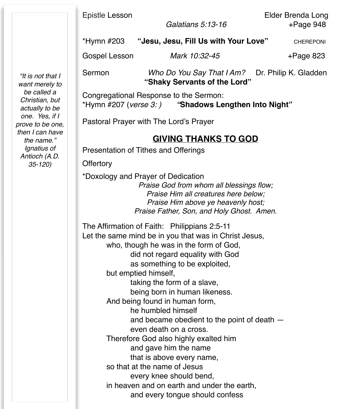*Galatians 5:13-16* +Page 948

\*Hymn #203 **"Jesu, Jesu, Fill Us with Your Love"** CHEREPONI

Gospel Lesson *Mark 10:32-45* +Page 823

Sermon *Who Do You Say That I Am?* Dr. Philip K. Gladden **"Shaky Servants of the Lord"** 

Congregational Response to the Sermon: \*Hymn #207 (*verse 3: ) "***Shadows Lengthen Into Night"**

Pastoral Prayer with The Lord's Prayer

#### **GIVING THANKS TO GOD**

Presentation of Tithes and Offerings

**Offertory** 

\*Doxology and Prayer of Dedication

*Praise God from whom all blessings flow; Praise Him all creatures here below; Praise Him above ye heavenly host; Praise Father, Son, and Holy Ghost. Amen.*

The Affirmation of Faith: Philippians 2:5-11 Let the same mind be in you that was in Christ Jesus, who, though he was in the form of God, did not regard equality with God as something to be exploited, but emptied himself, taking the form of a slave, being born in human likeness. And being found in human form, he humbled himself and became obedient to the point of death  $$ even death on a cross. Therefore God also highly exalted him and gave him the name that is above every name, so that at the name of Jesus every knee should bend, in heaven and on earth and under the earth, and every tongue should confess

*"It is not that I want merely to be called a Christian, but actually to be one. Yes, if I prove to be one, then I can have the name." Ignatius of Antioch (A.D. 35-120)*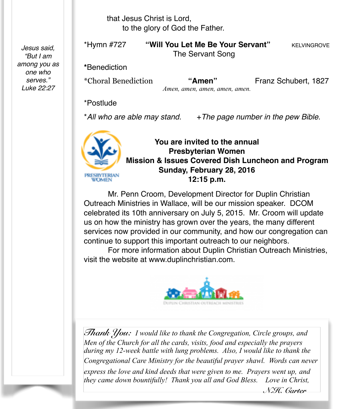that Jesus Christ is Lord, to the glory of God the Father.

\*Hymn #727 **"Will You Let Me Be Your Servant"** KELVINGROVE The Servant Song

**\***Benediction

\*Choral Benediction **"Amen"** Franz Schubert, 1827 *Amen, amen, amen, amen, amen.*

\*Postlude

\*<sup>*All who are able may stand.* +*The page number in the pew Bible.*</sup>



**You are invited to the annual Presbyterian Women Mission & Issues Covered Dish Luncheon and Program Sunday, February 28, 2016 12:15 p.m.**

Mr. Penn Croom, Development Director for Duplin Christian Outreach Ministries in Wallace, will be our mission speaker. DCOM celebrated its 10th anniversary on July 5, 2015. Mr. Croom will update us on how the ministry has grown over the years, the many different services now provided in our community, and how our congregation can continue to support this important outreach to our neighbors.

For more information about Duplin Christian Outreach Ministries, visit the website at [www.duplinchristian.com.](http://www.duplinchristian.com)



*Thank You: I would like to thank the Congregation, Circle groups, and Men of the Church for all the cards, visits, food and especially the prayers during my 12-week battle with lung problems. Also, I would like to thank the Congregational Care Ministry for the beautiful prayer shawl. Words can never express the love and kind deeds that were given to me. Prayers went up, and they came down bountifully! Thank you all and God Bless. Love in Christ, N.H. Carter*

*Jesus said, "But I am among you as one who serves." Luke 22:27*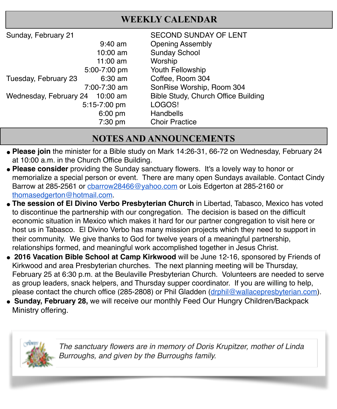## **WEEKLY CALENDAR**

| Sunday, February 21    |              | <b>SECOND SUNDAY OF LENT</b>        |
|------------------------|--------------|-------------------------------------|
|                        | $9:40$ am    | <b>Opening Assembly</b>             |
|                        | 10:00 am     | <b>Sunday School</b>                |
|                        | 11:00 $am$   | Worship                             |
|                        | 5:00-7:00 pm | Youth Fellowship                    |
| Tuesday, February 23   | 6:30 am      | Coffee, Room 304                    |
|                        | 7:00-7:30 am | SonRise Worship, Room 304           |
| Wednesday, February 24 | 10:00 am     | Bible Study, Church Office Building |
| 5:15-7:00 pm           |              | LOGOS!                              |
|                        | $6:00$ pm    | Handbells                           |
|                        | 7:30 pm      | <b>Choir Practice</b>               |

# **NOTES AND ANNOUNCEMENTS**

- " **Please join** the minister for a Bible study on Mark 14:26-31, 66-72 on Wednesday, February 24 at 10:00 a.m. in the Church Office Building.
- **Please consider** providing the Sunday sanctuary flowers. It's a lovely way to honor or memorialize a special person or event. There are many open Sundays available. Contact Cindy Barrow at 285-2561 or [cbarrow28466@yahoo.com](mailto:cbarrow28466@yahoo.com) or Lois Edgerton at 285-2160 or [thomasedgerton@hotmail.com](mailto:thomasedgerton@hotmail.com).
- " **The session of El Divino Verbo Presbyterian Church** in Libertad, Tabasco, Mexico has voted to discontinue the partnership with our congregation. The decision is based on the difficult economic situation in Mexico which makes it hard for our partner congregation to visit here or host us in Tabasco. El Divino Verbo has many mission projects which they need to support in their community. We give thanks to God for twelve years of a meaningful partnership, relationships formed, and meaningful work accomplished together in Jesus Christ.
- " **2016 Vacation Bible School at Camp Kirkwood** will be June 12-16, sponsored by Friends of Kirkwood and area Presbyterian churches. The next planning meeting will be Thursday, February 25 at 6:30 p.m. at the Beulaville Presbyterian Church. Volunteers are needed to serve as group leaders, snack helpers, and Thursday supper coordinator. If you are willing to help, please contact the church office (285-2808) or Phil Gladden [\(drphil@wallacepresbyterian.com](mailto:drphil@wallacepresbyterian.com)).
- " **Sunday, February 28,** we will receive our monthly Feed Our Hungry Children/Backpack Ministry offering.



*The sanctuary flowers are in memory of Doris Krupitzer, mother of Linda Burroughs, and given by the Burroughs family.*